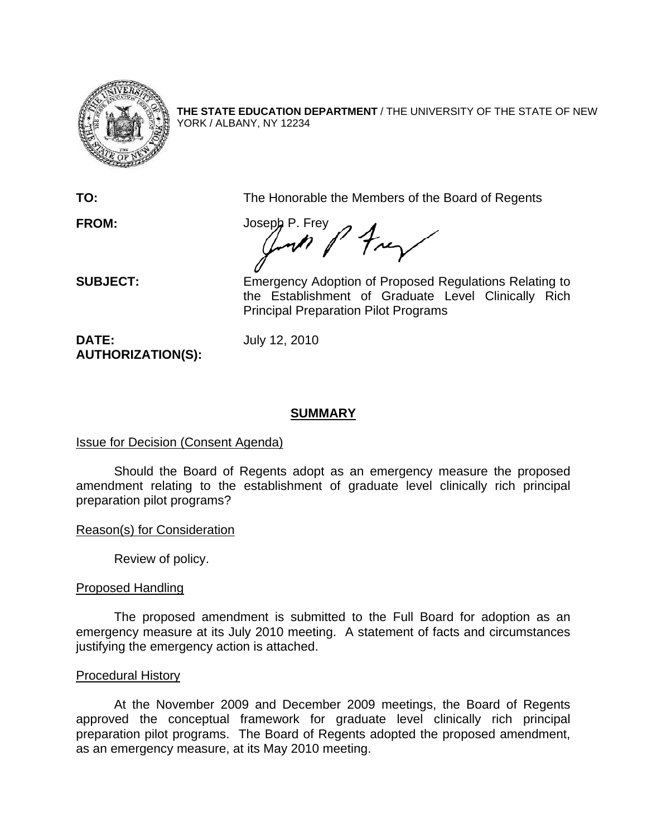

**THE STATE EDUCATION DEPARTMENT** / THE UNIVERSITY OF THE STATE OF NEW YORK / ALBANY, NY 12234

**TO:** The Honorable the Members of the Board of Regents

FROM: Joseph P. Frey<br>and Prey  $\boldsymbol{\mathscr{M}}$ 

**SUBJECT:** Emergency Adoption of Proposed Regulations Relating to the Establishment of Graduate Level Clinically Rich Principal Preparation Pilot Programs

**DATE:** July 12, 2010 **AUTHORIZATION(S):** 

## **SUMMARY**

## Issue for Decision (Consent Agenda)

Should the Board of Regents adopt as an emergency measure the proposed amendment relating to the establishment of graduate level clinically rich principal preparation pilot programs?

Reason(s) for Consideration

Review of policy.

# Proposed Handling

The proposed amendment is submitted to the Full Board for adoption as an emergency measure at its July 2010 meeting. A statement of facts and circumstances justifying the emergency action is attached.

## Procedural History

 At the November 2009 and December 2009 meetings, the Board of Regents approved the conceptual framework for graduate level clinically rich principal preparation pilot programs. The Board of Regents adopted the proposed amendment, as an emergency measure, at its May 2010 meeting.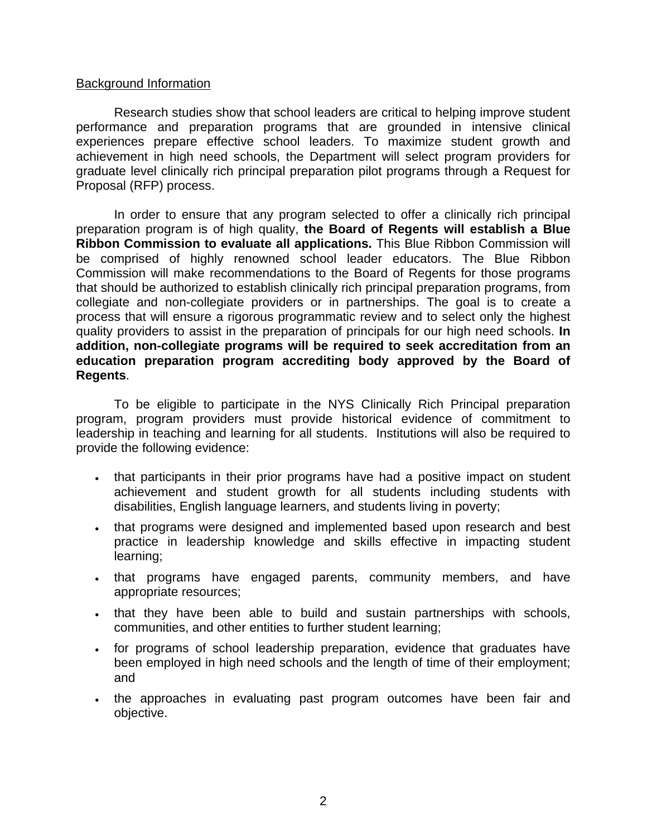### Background Information

 Research studies show that school leaders are critical to helping improve student performance and preparation programs that are grounded in intensive clinical experiences prepare effective school leaders. To maximize student growth and achievement in high need schools, the Department will select program providers for graduate level clinically rich principal preparation pilot programs through a Request for Proposal (RFP) process.

In order to ensure that any program selected to offer a clinically rich principal preparation program is of high quality, **the Board of Regents will establish a Blue Ribbon Commission to evaluate all applications.** This Blue Ribbon Commission will be comprised of highly renowned school leader educators. The Blue Ribbon Commission will make recommendations to the Board of Regents for those programs that should be authorized to establish clinically rich principal preparation programs, from collegiate and non-collegiate providers or in partnerships. The goal is to create a process that will ensure a rigorous programmatic review and to select only the highest quality providers to assist in the preparation of principals for our high need schools. **In addition, non-collegiate programs will be required to seek accreditation from an education preparation program accrediting body approved by the Board of Regents**.

 To be eligible to participate in the NYS Clinically Rich Principal preparation program, program providers must provide historical evidence of commitment to leadership in teaching and learning for all students. Institutions will also be required to provide the following evidence:

- that participants in their prior programs have had a positive impact on student achievement and student growth for all students including students with disabilities, English language learners, and students living in poverty;
- that programs were designed and implemented based upon research and best practice in leadership knowledge and skills effective in impacting student learning;
- . that programs have engaged parents, community members, and have appropriate resources;
- that they have been able to build and sustain partnerships with schools, communities, and other entities to further student learning;
- for programs of school leadership preparation, evidence that graduates have been employed in high need schools and the length of time of their employment; and
- . the approaches in evaluating past program outcomes have been fair and objective.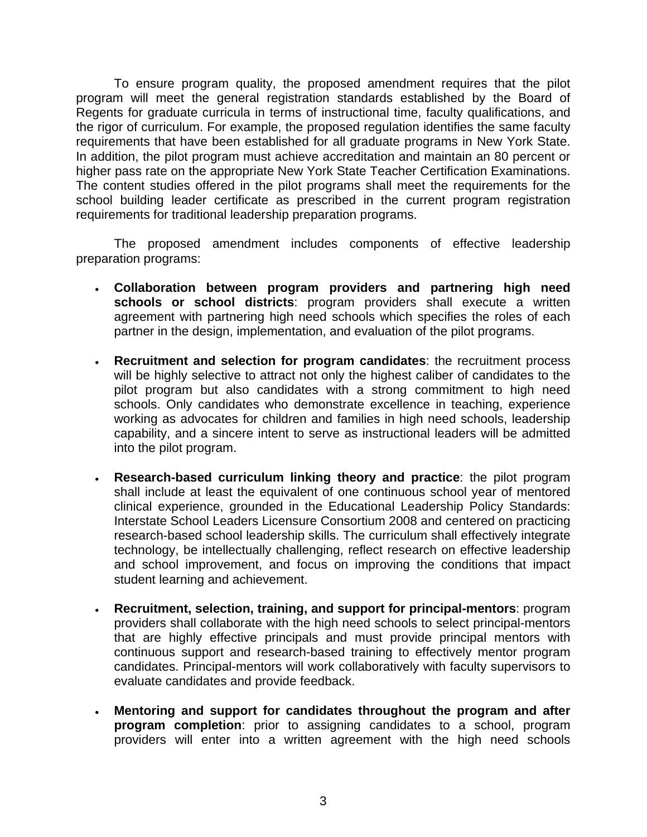To ensure program quality, the proposed amendment requires that the pilot program will meet the general registration standards established by the Board of Regents for graduate curricula in terms of instructional time, faculty qualifications, and the rigor of curriculum. For example, the proposed regulation identifies the same faculty requirements that have been established for all graduate programs in New York State. In addition, the pilot program must achieve accreditation and maintain an 80 percent or higher pass rate on the appropriate New York State Teacher Certification Examinations. The content studies offered in the pilot programs shall meet the requirements for the school building leader certificate as prescribed in the current program registration requirements for traditional leadership preparation programs.

 The proposed amendment includes components of effective leadership preparation programs:

- **Collaboration between program providers and partnering high need schools or school districts**: program providers shall execute a written agreement with partnering high need schools which specifies the roles of each partner in the design, implementation, and evaluation of the pilot programs.
- **Recruitment and selection for program candidates**: the recruitment process will be highly selective to attract not only the highest caliber of candidates to the pilot program but also candidates with a strong commitment to high need schools. Only candidates who demonstrate excellence in teaching, experience working as advocates for children and families in high need schools, leadership capability, and a sincere intent to serve as instructional leaders will be admitted into the pilot program.
- **Research-based curriculum linking theory and practice**: the pilot program shall include at least the equivalent of one continuous school year of mentored clinical experience, grounded in the Educational Leadership Policy Standards: Interstate School Leaders Licensure Consortium 2008 and centered on practicing research-based school leadership skills. The curriculum shall effectively integrate technology, be intellectually challenging, reflect research on effective leadership and school improvement, and focus on improving the conditions that impact student learning and achievement.
- **Recruitment, selection, training, and support for principal-mentors**: program providers shall collaborate with the high need schools to select principal-mentors that are highly effective principals and must provide principal mentors with continuous support and research-based training to effectively mentor program candidates. Principal-mentors will work collaboratively with faculty supervisors to evaluate candidates and provide feedback.
- **Mentoring and support for candidates throughout the program and after program completion**: prior to assigning candidates to a school, program providers will enter into a written agreement with the high need schools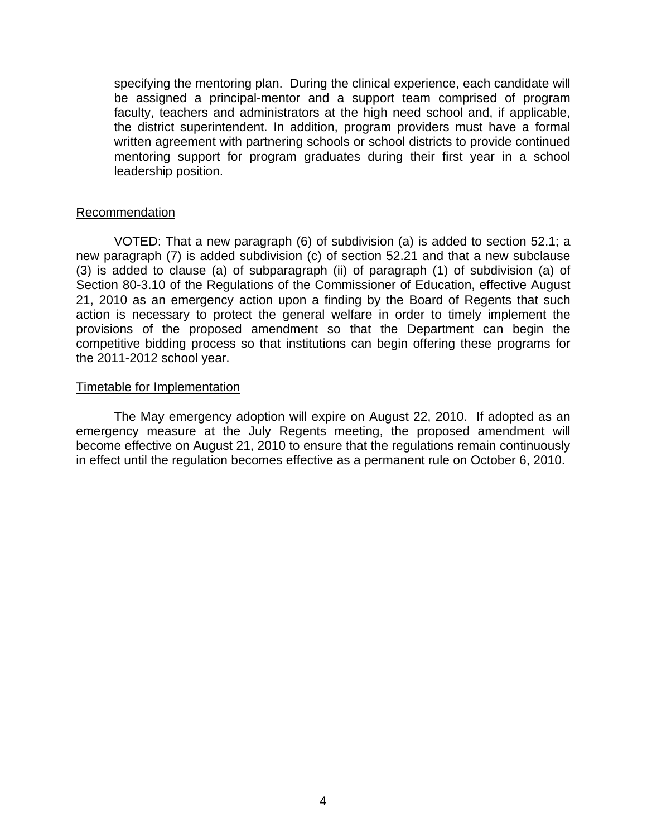specifying the mentoring plan. During the clinical experience, each candidate will be assigned a principal-mentor and a support team comprised of program faculty, teachers and administrators at the high need school and, if applicable, the district superintendent. In addition, program providers must have a formal written agreement with partnering schools or school districts to provide continued mentoring support for program graduates during their first year in a school leadership position.

### Recommendation

VOTED: That a new paragraph (6) of subdivision (a) is added to section 52.1; a new paragraph (7) is added subdivision (c) of section 52.21 and that a new subclause (3) is added to clause (a) of subparagraph (ii) of paragraph (1) of subdivision (a) of Section 80-3.10 of the Regulations of the Commissioner of Education, effective August 21, 2010 as an emergency action upon a finding by the Board of Regents that such action is necessary to protect the general welfare in order to timely implement the provisions of the proposed amendment so that the Department can begin the competitive bidding process so that institutions can begin offering these programs for the 2011-2012 school year.

### Timetable for Implementation

 The May emergency adoption will expire on August 22, 2010. If adopted as an emergency measure at the July Regents meeting, the proposed amendment will become effective on August 21, 2010 to ensure that the regulations remain continuously in effect until the regulation becomes effective as a permanent rule on October 6, 2010.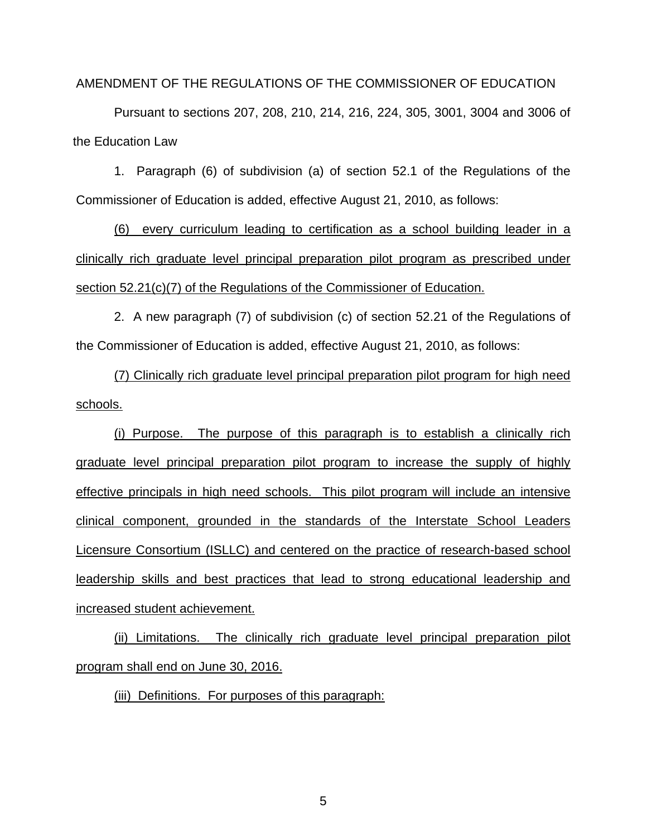AMENDMENT OF THE REGULATIONS OF THE COMMISSIONER OF EDUCATION

Pursuant to sections 207, 208, 210, 214, 216, 224, 305, 3001, 3004 and 3006 of the Education Law

1. Paragraph (6) of subdivision (a) of section 52.1 of the Regulations of the Commissioner of Education is added, effective August 21, 2010, as follows:

(6) every curriculum leading to certification as a school building leader in a clinically rich graduate level principal preparation pilot program as prescribed under section 52.21(c)(7) of the Regulations of the Commissioner of Education.

 2. A new paragraph (7) of subdivision (c) of section 52.21 of the Regulations of the Commissioner of Education is added, effective August 21, 2010, as follows:

 (7) Clinically rich graduate level principal preparation pilot program for high need schools.

(i) Purpose. The purpose of this paragraph is to establish a clinically rich graduate level principal preparation pilot program to increase the supply of highly effective principals in high need schools. This pilot program will include an intensive clinical component, grounded in the standards of the Interstate School Leaders Licensure Consortium (ISLLC) and centered on the practice of research-based school leadership skills and best practices that lead to strong educational leadership and increased student achievement.

(ii) Limitations. The clinically rich graduate level principal preparation pilot program shall end on June 30, 2016.

(iii) Definitions. For purposes of this paragraph: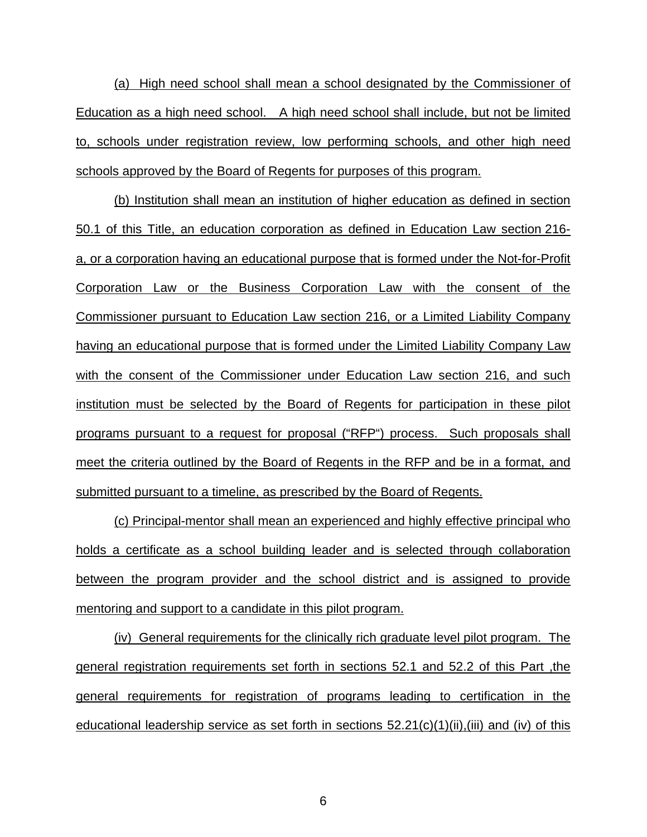(a) High need school shall mean a school designated by the Commissioner of Education as a high need school. A high need school shall include, but not be limited to, schools under registration review, low performing schools, and other high need schools approved by the Board of Regents for purposes of this program.

(b) Institution shall mean an institution of higher education as defined in section 50.1 of this Title, an education corporation as defined in Education Law section 216 a, or a corporation having an educational purpose that is formed under the Not-for-Profit Corporation Law or the Business Corporation Law with the consent of the Commissioner pursuant to Education Law section 216, or a Limited Liability Company having an educational purpose that is formed under the Limited Liability Company Law with the consent of the Commissioner under Education Law section 216, and such institution must be selected by the Board of Regents for participation in these pilot programs pursuant to a request for proposal ("RFP") process. Such proposals shall meet the criteria outlined by the Board of Regents in the RFP and be in a format, and submitted pursuant to a timeline, as prescribed by the Board of Regents.

(c) Principal-mentor shall mean an experienced and highly effective principal who holds a certificate as a school building leader and is selected through collaboration between the program provider and the school district and is assigned to provide mentoring and support to a candidate in this pilot program.

(iv) General requirements for the clinically rich graduate level pilot program. The general registration requirements set forth in sections 52.1 and 52.2 of this Part ,the general requirements for registration of programs leading to certification in the educational leadership service as set forth in sections  $52.21(c)(1)(ii),(iii)$  and (iv) of this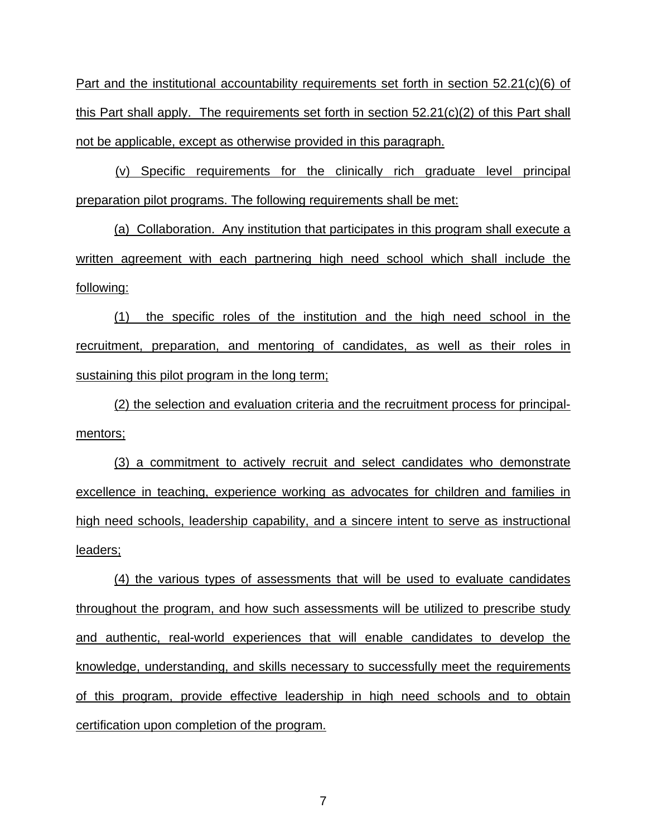Part and the institutional accountability requirements set forth in section 52.21(c)(6) of this Part shall apply. The requirements set forth in section 52.21(c)(2) of this Part shall not be applicable, except as otherwise provided in this paragraph.

(v) Specific requirements for the clinically rich graduate level principal preparation pilot programs. The following requirements shall be met:

(a) Collaboration. Any institution that participates in this program shall execute a written agreement with each partnering high need school which shall include the following:

(1) the specific roles of the institution and the high need school in the recruitment, preparation, and mentoring of candidates, as well as their roles in sustaining this pilot program in the long term;

(2) the selection and evaluation criteria and the recruitment process for principalmentors;

(3) a commitment to actively recruit and select candidates who demonstrate excellence in teaching, experience working as advocates for children and families in high need schools, leadership capability, and a sincere intent to serve as instructional leaders;

(4) the various types of assessments that will be used to evaluate candidates throughout the program, and how such assessments will be utilized to prescribe study and authentic, real-world experiences that will enable candidates to develop the knowledge, understanding, and skills necessary to successfully meet the requirements of this program, provide effective leadership in high need schools and to obtain certification upon completion of the program.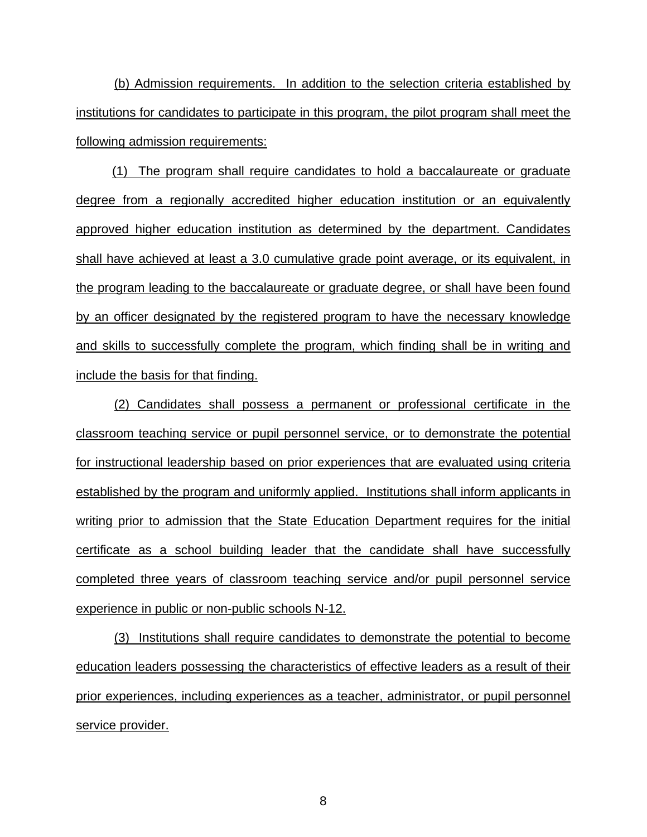(b) Admission requirements. In addition to the selection criteria established by institutions for candidates to participate in this program, the pilot program shall meet the following admission requirements:

(1) The program shall require candidates to hold a baccalaureate or graduate degree from a regionally accredited higher education institution or an equivalently approved higher education institution as determined by the department. Candidates shall have achieved at least a 3.0 cumulative grade point average, or its equivalent, in the program leading to the baccalaureate or graduate degree, or shall have been found by an officer designated by the registered program to have the necessary knowledge and skills to successfully complete the program, which finding shall be in writing and include the basis for that finding.

(2) Candidates shall possess a permanent or professional certificate in the classroom teaching service or pupil personnel service, or to demonstrate the potential for instructional leadership based on prior experiences that are evaluated using criteria established by the program and uniformly applied. Institutions shall inform applicants in writing prior to admission that the State Education Department requires for the initial certificate as a school building leader that the candidate shall have successfully completed three years of classroom teaching service and/or pupil personnel service experience in public or non-public schools N-12.

(3) Institutions shall require candidates to demonstrate the potential to become education leaders possessing the characteristics of effective leaders as a result of their prior experiences, including experiences as a teacher, administrator, or pupil personnel service provider.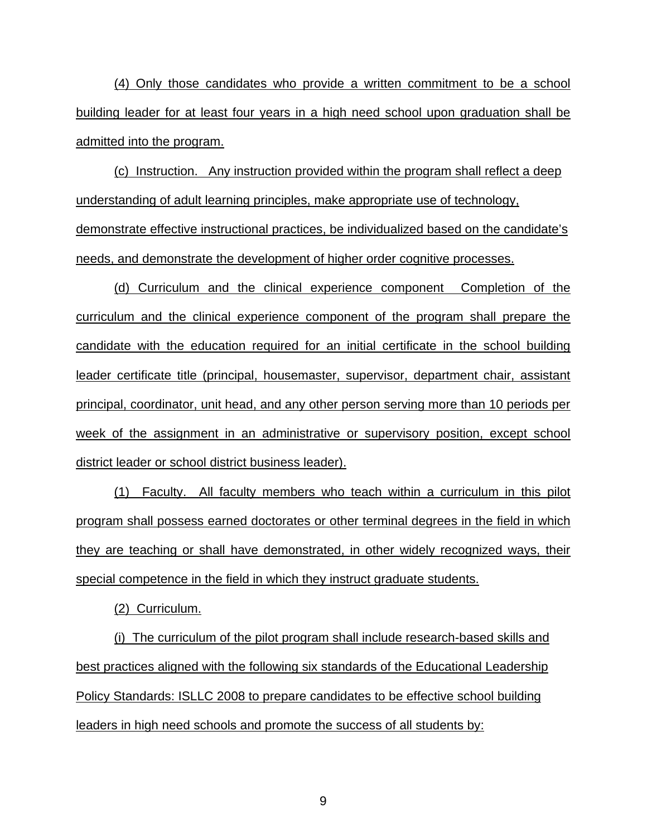(4) Only those candidates who provide a written commitment to be a school building leader for at least four years in a high need school upon graduation shall be admitted into the program.

(c) Instruction. Any instruction provided within the program shall reflect a deep understanding of adult learning principles, make appropriate use of technology, demonstrate effective instructional practices, be individualized based on the candidate's needs, and demonstrate the development of higher order cognitive processes.

(d) Curriculum and the clinical experience component Completion of the curriculum and the clinical experience component of the program shall prepare the candidate with the education required for an initial certificate in the school building leader certificate title (principal, housemaster, supervisor, department chair, assistant principal, coordinator, unit head, and any other person serving more than 10 periods per week of the assignment in an administrative or supervisory position, except school district leader or school district business leader).

(1) Faculty. All faculty members who teach within a curriculum in this pilot program shall possess earned doctorates or other terminal degrees in the field in which they are teaching or shall have demonstrated, in other widely recognized ways, their special competence in the field in which they instruct graduate students.

(2) Curriculum.

(i) The curriculum of the pilot program shall include research-based skills and best practices aligned with the following six standards of the Educational Leadership Policy Standards: ISLLC 2008 to prepare candidates to be effective school building leaders in high need schools and promote the success of all students by: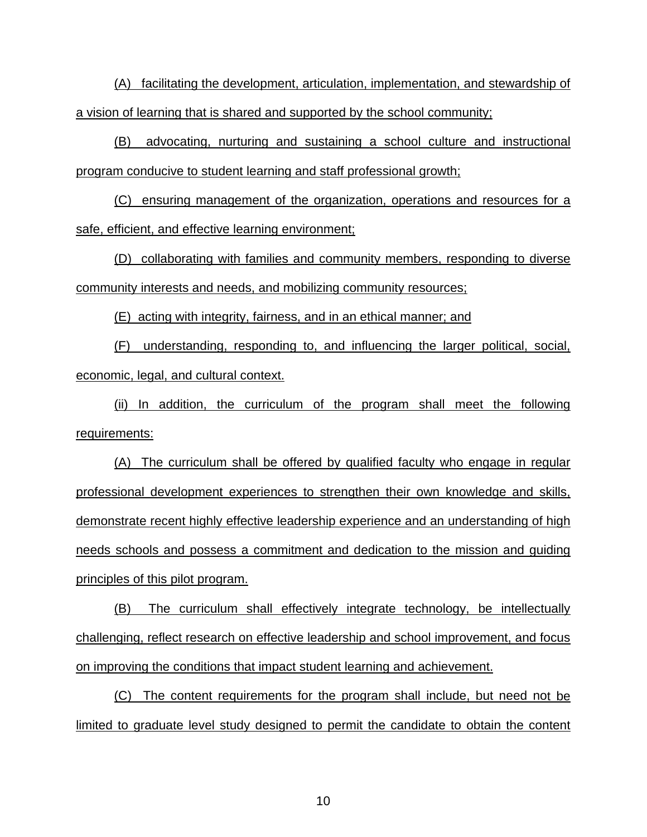(A) facilitating the development, articulation, implementation, and stewardship of a vision of learning that is shared and supported by the school community;

(B) advocating, nurturing and sustaining a school culture and instructional program conducive to student learning and staff professional growth;

(C) ensuring management of the organization, operations and resources for a safe, efficient, and effective learning environment;

(D) collaborating with families and community members, responding to diverse community interests and needs, and mobilizing community resources;

(E) acting with integrity, fairness, and in an ethical manner; and

(F) understanding, responding to, and influencing the larger political, social, economic, legal, and cultural context.

(ii) In addition, the curriculum of the program shall meet the following requirements:

(A) The curriculum shall be offered by qualified faculty who engage in regular professional development experiences to strengthen their own knowledge and skills, demonstrate recent highly effective leadership experience and an understanding of high needs schools and possess a commitment and dedication to the mission and guiding principles of this pilot program.

(B) The curriculum shall effectively integrate technology, be intellectually challenging, reflect research on effective leadership and school improvement, and focus on improving the conditions that impact student learning and achievement.

(C) The content requirements for the program shall include, but need not be limited to graduate level study designed to permit the candidate to obtain the content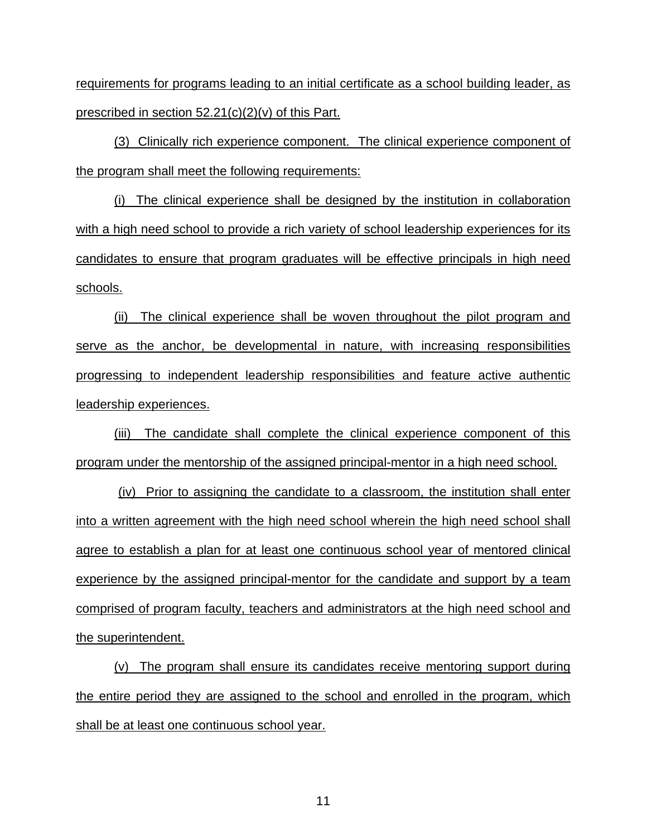requirements for programs leading to an initial certificate as a school building leader, as prescribed in section  $52.21(c)(2)(v)$  of this Part.

(3) Clinically rich experience component. The clinical experience component of the program shall meet the following requirements:

(i) The clinical experience shall be designed by the institution in collaboration with a high need school to provide a rich variety of school leadership experiences for its candidates to ensure that program graduates will be effective principals in high need schools.

(ii) The clinical experience shall be woven throughout the pilot program and serve as the anchor, be developmental in nature, with increasing responsibilities progressing to independent leadership responsibilities and feature active authentic leadership experiences.

(iii) The candidate shall complete the clinical experience component of this program under the mentorship of the assigned principal-mentor in a high need school.

 (iv) Prior to assigning the candidate to a classroom, the institution shall enter into a written agreement with the high need school wherein the high need school shall agree to establish a plan for at least one continuous school year of mentored clinical experience by the assigned principal-mentor for the candidate and support by a team comprised of program faculty, teachers and administrators at the high need school and the superintendent.

(v) The program shall ensure its candidates receive mentoring support during the entire period they are assigned to the school and enrolled in the program, which shall be at least one continuous school year.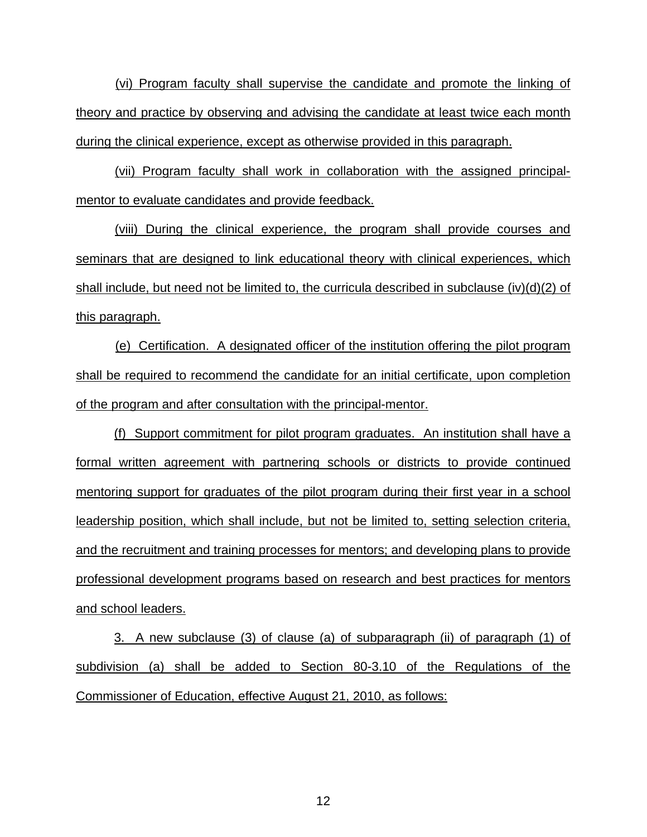(vi) Program faculty shall supervise the candidate and promote the linking of theory and practice by observing and advising the candidate at least twice each month during the clinical experience, except as otherwise provided in this paragraph.

 (vii) Program faculty shall work in collaboration with the assigned principalmentor to evaluate candidates and provide feedback.

 (viii) During the clinical experience, the program shall provide courses and seminars that are designed to link educational theory with clinical experiences, which shall include, but need not be limited to, the curricula described in subclause (iv)(d)(2) of this paragraph.

(e) Certification. A designated officer of the institution offering the pilot program shall be required to recommend the candidate for an initial certificate, upon completion of the program and after consultation with the principal-mentor.

(f) Support commitment for pilot program graduates. An institution shall have a formal written agreement with partnering schools or districts to provide continued mentoring support for graduates of the pilot program during their first year in a school leadership position, which shall include, but not be limited to, setting selection criteria, and the recruitment and training processes for mentors; and developing plans to provide professional development programs based on research and best practices for mentors and school leaders.

3. A new subclause (3) of clause (a) of subparagraph (ii) of paragraph (1) of subdivision (a) shall be added to Section 80-3.10 of the Regulations of the Commissioner of Education, effective August 21, 2010, as follows: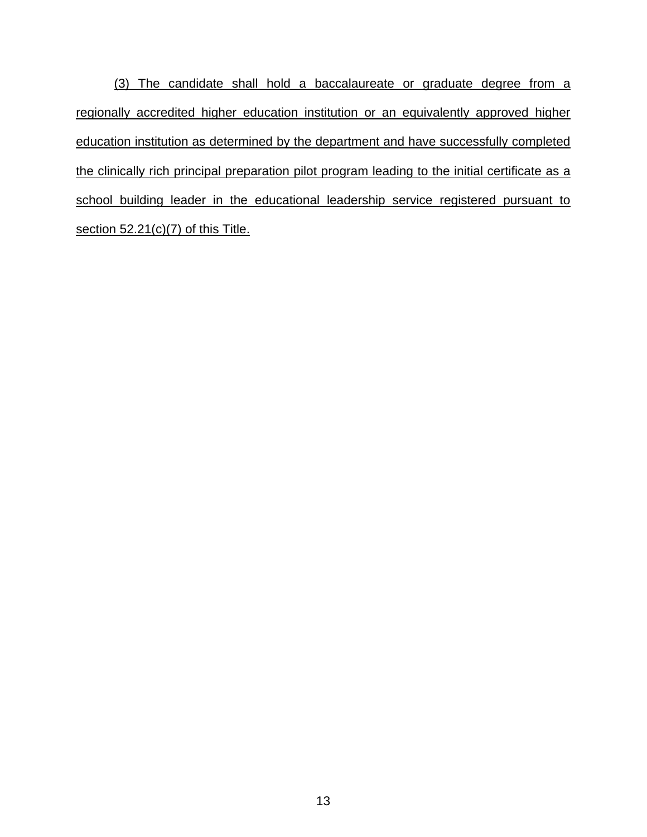(3) The candidate shall hold a baccalaureate or graduate degree from a regionally accredited higher education institution or an equivalently approved higher education institution as determined by the department and have successfully completed the clinically rich principal preparation pilot program leading to the initial certificate as a school building leader in the educational leadership service registered pursuant to section 52.21(c)(7) of this Title.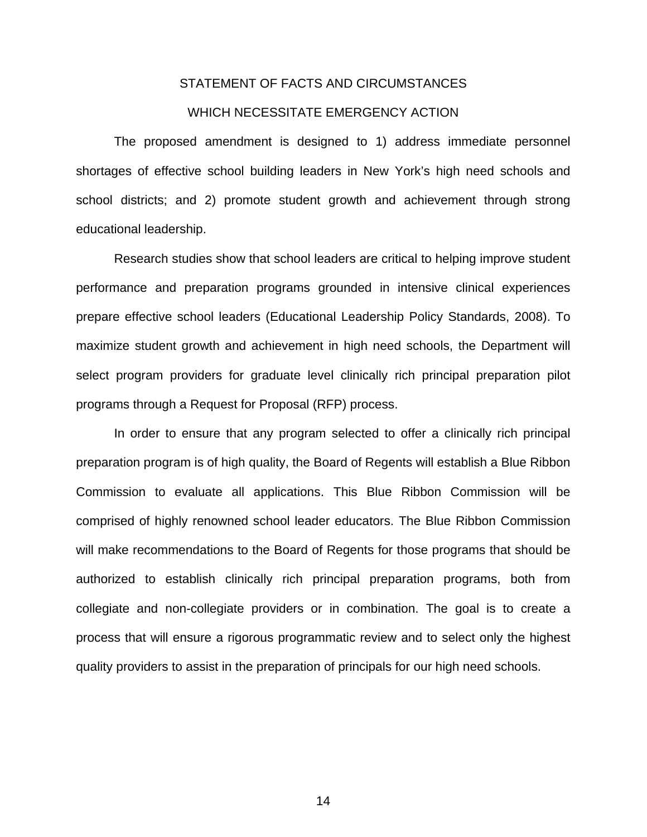## STATEMENT OF FACTS AND CIRCUMSTANCES

#### WHICH NECESSITATE EMERGENCY ACTION

 The proposed amendment is designed to 1) address immediate personnel shortages of effective school building leaders in New York's high need schools and school districts; and 2) promote student growth and achievement through strong educational leadership.

 Research studies show that school leaders are critical to helping improve student performance and preparation programs grounded in intensive clinical experiences prepare effective school leaders (Educational Leadership Policy Standards, 2008). To maximize student growth and achievement in high need schools, the Department will select program providers for graduate level clinically rich principal preparation pilot programs through a Request for Proposal (RFP) process.

In order to ensure that any program selected to offer a clinically rich principal preparation program is of high quality, the Board of Regents will establish a Blue Ribbon Commission to evaluate all applications. This Blue Ribbon Commission will be comprised of highly renowned school leader educators. The Blue Ribbon Commission will make recommendations to the Board of Regents for those programs that should be authorized to establish clinically rich principal preparation programs, both from collegiate and non-collegiate providers or in combination. The goal is to create a process that will ensure a rigorous programmatic review and to select only the highest quality providers to assist in the preparation of principals for our high need schools.